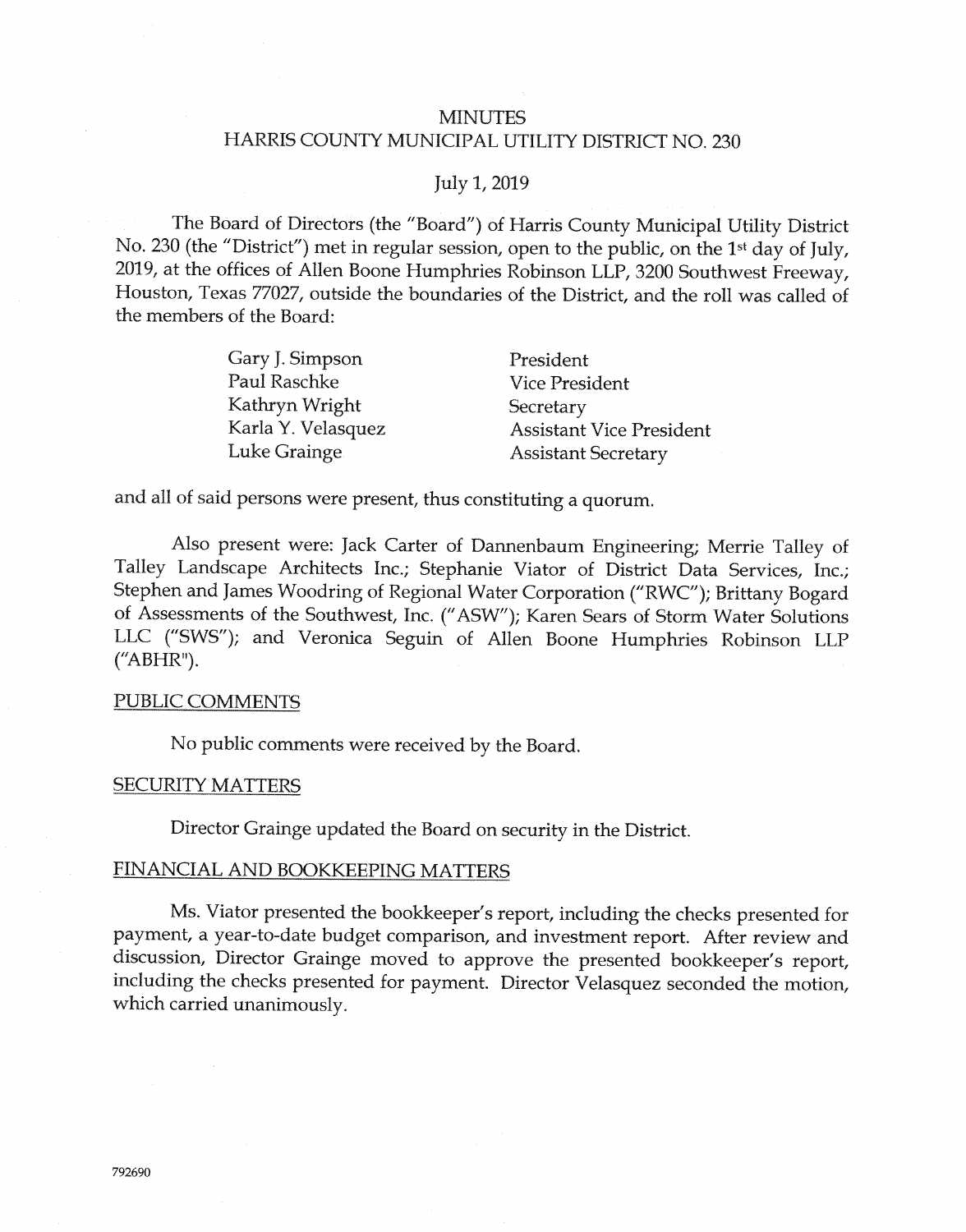## **MINUTES** HARRIS COUNTY MUNICIPAL UTILITY DISTRICT NO. 230

### July 1, 2019

The Board of Directors (the "Board") of Harris County Municipal Utility District No. 230 (the "District") met in regular session, open to the public, on the 1<sup>st</sup> day of July, 2019, at the offices of Allen Boone Humphries Robinson LLP, 3200 Southwest Freeway, Houston, Texas 77027, outside the boundaries of the District, and the roll was called of the members of the Board:

| Gary J. Simpson    | President                       |
|--------------------|---------------------------------|
| Paul Raschke       | <b>Vice President</b>           |
| Kathryn Wright     | Secretary                       |
| Karla Y. Velasquez | <b>Assistant Vice President</b> |
| Luke Grainge       | <b>Assistant Secretary</b>      |

and all of said persons were present, thus constituting a quorum.

Also present were: Jack Carter of Dannenbaum Engineering; Merrie Talley of Talley Landscape Architects Inc.; Stephanie Viator of District Data Services, Inc.; Stephen and James Woodring of Regional Water Corporation ("RWC"); Brittany Bogard of Assessments of the Southwest, Inc. ("ASW"); Karen Sears of Storm Water Solutions LLC ("SWS"); and Veronica Seguin of Allen Boone Humphries Robinson LLP  $($ "ABHR").

#### **PUBLIC COMMENTS**

No public comments were received by the Board.

### **SECURITY MATTERS**

Director Grainge updated the Board on security in the District.

#### FINANCIAL AND BOOKKEEPING MATTERS

Ms. Viator presented the bookkeeper's report, including the checks presented for payment, a year-to-date budget comparison, and investment report. After review and discussion, Director Grainge moved to approve the presented bookkeeper's report, including the checks presented for payment. Director Velasquez seconded the motion, which carried unanimously.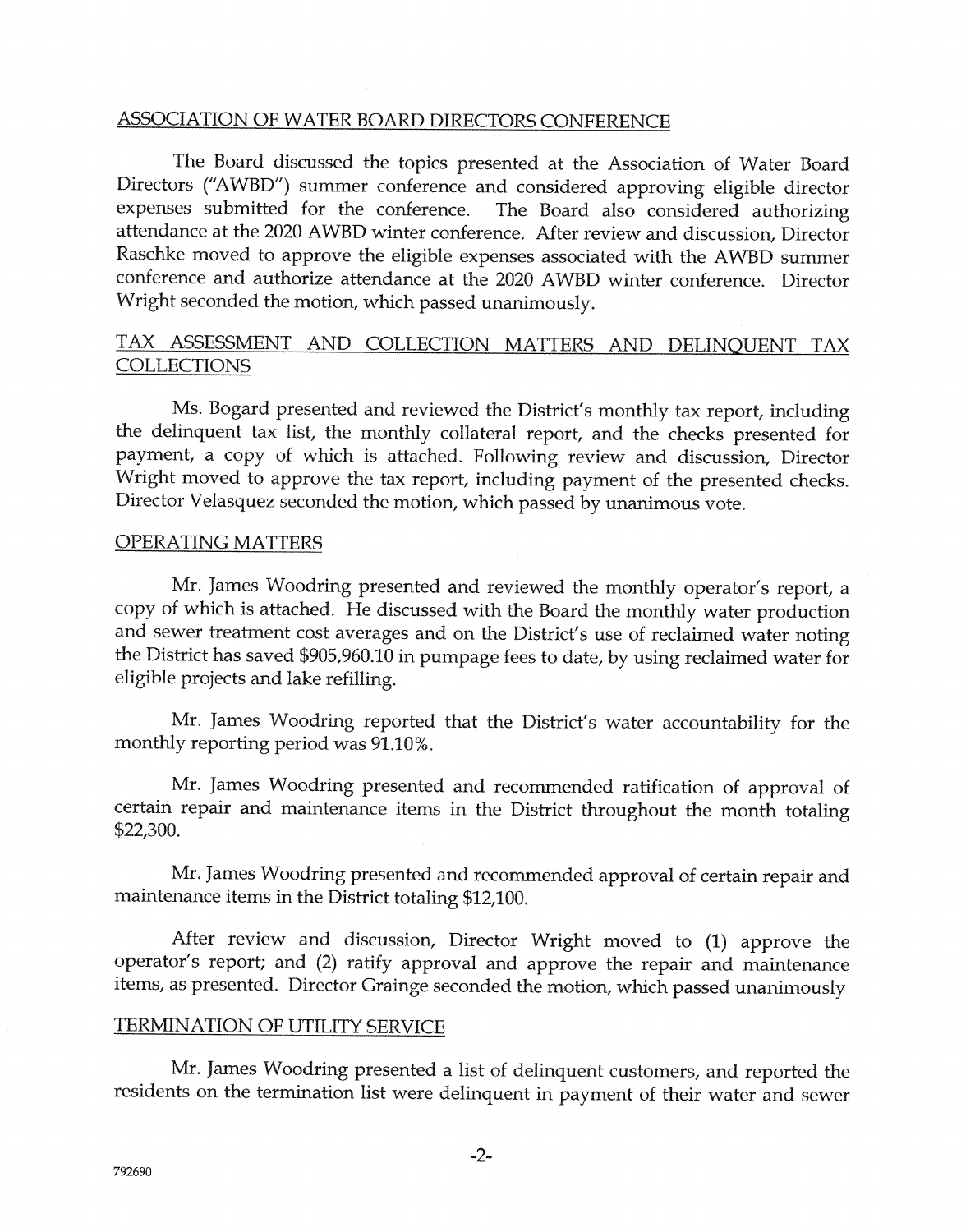## ASSOCIATION OF WATER BOARD DIRECTORS CONFERENCE

The Board discussed the topics presented at the Association of Water Board Directors ("AWBD") summer conference and considered approving eligible director expenses submitted for the conference. The Board also considered authorizing attendance at the 2020 AWBD winter conference. After review and discussion, Director Raschke moved to approve the eligible expenses associated with the AWBD summer conference and authorize attendance at the 2020 AWBD winter conference. Director Wright seconded the motion, which passed unanimously.

## TAX ASSESSMENT AND COLLECTION MATTERS AND DELINQUENT TAX **COLLECTIONS**

Ms. Bogard presented and reviewed the District's monthly tax report, including the delinquent tax list, the monthly collateral report, and the checks presented for payment, a copy of which is attached. Following review and discussion, Director Wright moved to approve the tax report, including payment of the presented checks. Director Velasquez seconded the motion, which passed by unanimous vote.

### OPERATING MATTERS

Mr. James Woodring presented and reviewed the monthly operator's report, a copy of which is attached. He discussed with the Board the monthly water production and sewer treatment cost averages and on the District's use of reclaimed water noting the District has saved \$905,960.10 in pumpage fees to date, by using reclaimed water for eligible projects and lake refilling.

Mr. James Woodring reported that the District's water accountability for the monthly reporting period was 91.10%.

Mr. James Woodring presented and recommended ratification of approval of certain repair and maintenance items in the District throughout the month totaling \$22,300.

Mr. James Woodring presented and recommended approval of certain repair and maintenance items in the District totaling \$12,100.

After review and discussion, Director Wright moved to (1) approve the operator's report; and (2) ratify approval and approve the repair and maintenance items, as presented. Director Grainge seconded the motion, which passed unanimously

### TERMINATION OF UTILITY SERVICE

Mr. James Woodring presented a list of delinquent customers, and reported the residents on the termination list were delinquent in payment of their water and sewer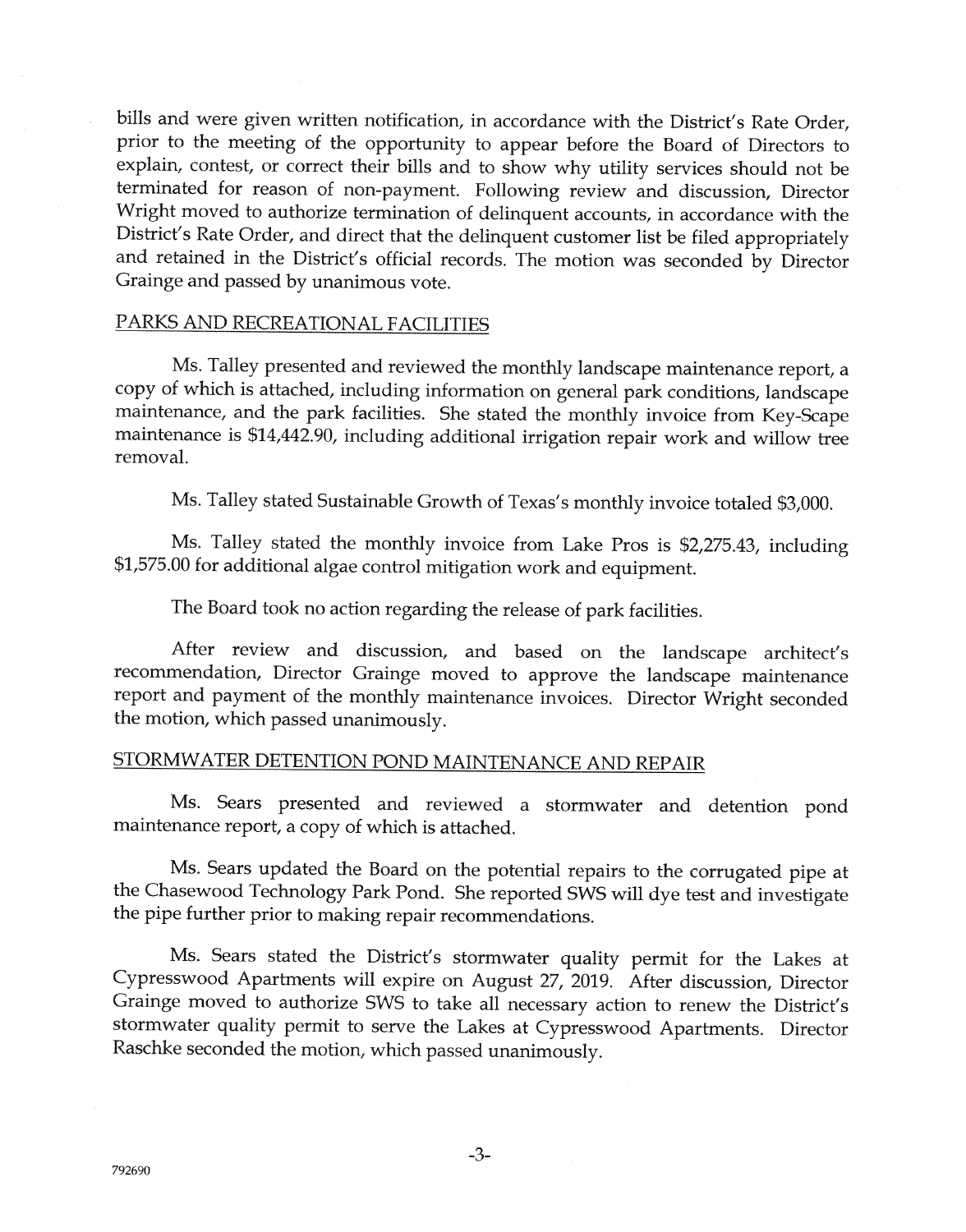bills and were given written notification, in accordance with the District's Rate Order, prior to the meeting of the opportunity to appear before the Board of Directors to explain, contest, or correct their bills and to show why utility services should not be terminated for reason of non-payment. Following review and discussion, Director Wright moved to authorize termination of delinquent accounts, in accordance with the District's Rate Order, and direct that the delinquent customer list be filed appropriately and retained in the District's official records. The motion was seconded by Director Grainge and passed by unanimous vote.

### PARKS AND RECREATIONAL FACILITIES

Ms. Talley presented and reviewed the monthly landscape maintenance report, a copy of which is attached, including information on general park conditions, landscape maintenance, and the park facilities. She stated the monthly invoice from Key-Scape maintenance is \$14,442.90, including additional irrigation repair work and willow tree removal.

Ms. Talley stated Sustainable Growth of Texas's monthly invoice totaled \$3,000.

. Ms. Talley stated the monthly invoice from Lake Pros is \$2,275.43, including  $\$1,\!575.00$  for additional algae control mitigation work and equipment

The Board took no action regarding the release of park facilities.

After review and discussion, and based on the landscape architect's recommendation, Director Grainge moved to approve the landscape maintenance report and payment of the monthly maintenance invoices. Director Wright seconded the motion, which passed unanimously.

# STORMWATER DETENTION POND MAINTENANCE AND REPAIR

Ms. Sears presented and reviewed a stormwater and detention pond maintenaace report, a copy of which is attached.

Ms. Sears updated the Board on the potential repairs to the corrugated pipe at the Chasewood Technology Park Pond. She reported SWS will dye test and investigate the pipe further prior to making repair recommendations.

Ms. Sears stated the District's stormwater quality permit for the Lakes at Cypresswood Aparfments will expire on August 27, 2019. After discussior; Director Grainge moved to authorize SWS to take all necessary action to renew the District's stormwater quality permit to serve the Lakes at Cypresswood Apartments. Director Raschke seconded the motion, which passed unanimously.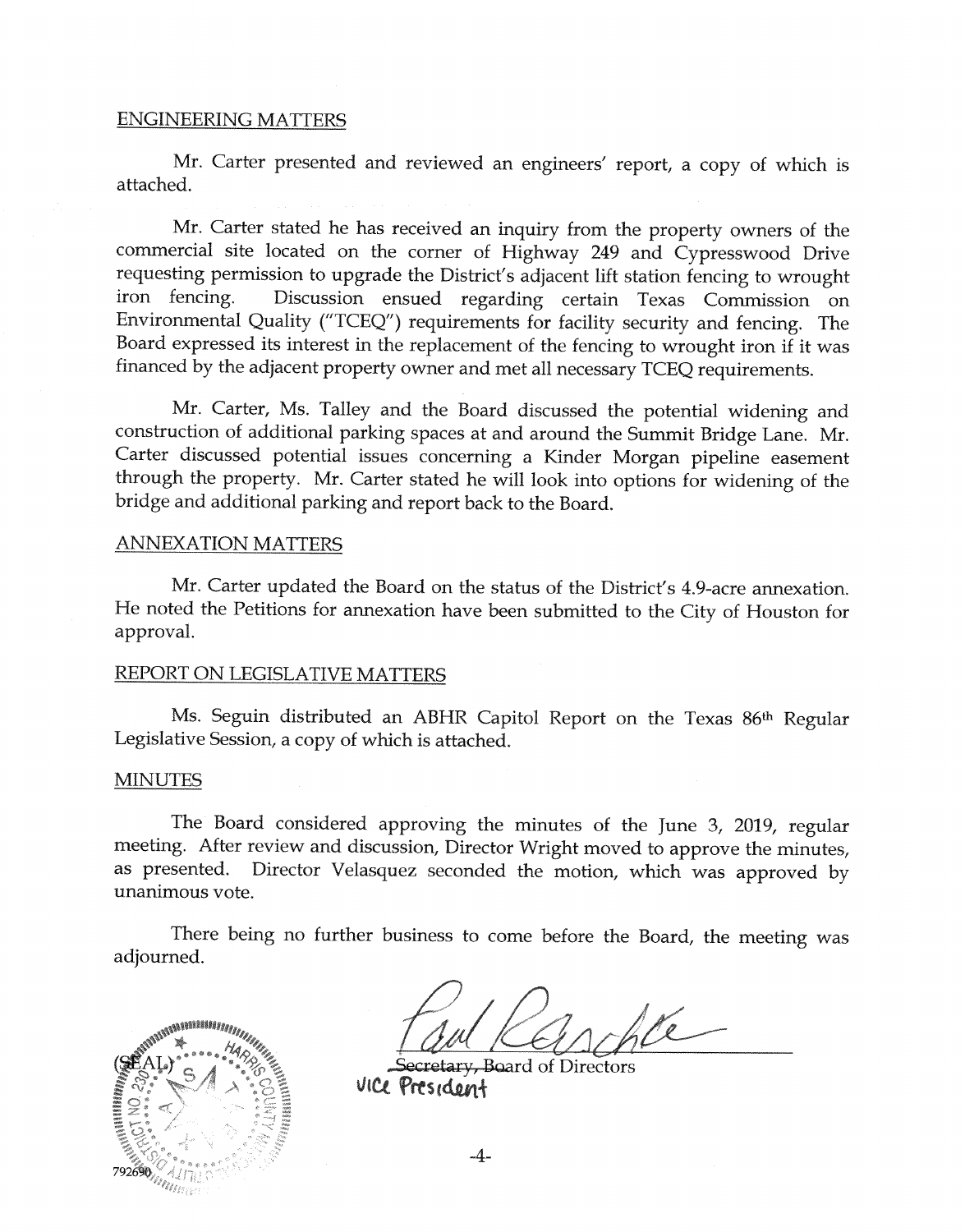#### ENGINEERING MATTERS

Mr. Carter presented and reviewed an engineers' report, a copy of which is attached.

Mr. Carter stated he has received an inquiry from the property cwners of the commercial site located on the corner of Highway 249 and Cypresswood Drive requesting permission to upgrade the District's adjacent lift station fencing to wrought<br>iron fencing. Discussion ensued regarding certain Texas Commission on Discussion ensued regarding certain Texas Commission on Environrnental Quality {"TCEQ") requirements for faciiity security and fencing. The Baard expressed its interest in the replacernent of the fencing to wrought iron if it was financed by the adjacent property owner and met all necessary TCEQ requirements.

Mr. Carter, Ms. Talley and the Board discussed the potential widening and construction of additional parking spaces at and around the Summit Bridge Lane. Mr. Carter discussed potential issues concerning a Kinder Morgan pipeline easernent through the property. Mr. Carter stated he will look into options for widening of the bridge and additional parking and report back to the Board.

### ANNEXATION MATTERS

Mr. Carter updated the Board on the status of the District's 4.9-acre annexation. He noted the Petitions for annexation have been submitted to the City of Houston for approval.

#### REPORT ON LEGISLATIVE MATTERS

Ms. Seguin distributed an ABHR Capitol Report on the Texas 86<sup>th</sup> Regular Legislative Session, a copy of which is attached.

#### **MINUTES**

The Board considered approving the minutes of the June 3, 2019, regular meeting. After review and discussion, Director Wright moved to approve the minutes, as presented. Director Velasquez seconded the motion, which was approved by unanimous vote.

There being no further business to come before the Board, the meeting was adjourned.



hte

Secretary, Board of Directors **VICE President** 

-4-